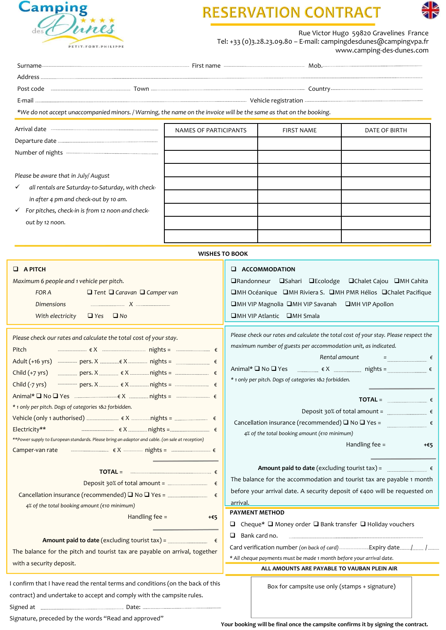

| <b>Camping</b>                                                                                                      |                       | <b>RESERVATION CONTRACT</b> |                                                                                                              |
|---------------------------------------------------------------------------------------------------------------------|-----------------------|-----------------------------|--------------------------------------------------------------------------------------------------------------|
|                                                                                                                     |                       |                             |                                                                                                              |
|                                                                                                                     |                       |                             | Rue Victor Hugo 59820 Gravelines France<br>Tel: +33 (0)3.28.23.09.80 - E-mail: campingdesdunes@campingvpa.fr |
| PETIT-FORT-PHILIPPE                                                                                                 |                       |                             | www.camping-des-dunes.com                                                                                    |
|                                                                                                                     |                       |                             |                                                                                                              |
|                                                                                                                     |                       |                             |                                                                                                              |
|                                                                                                                     |                       |                             |                                                                                                              |
|                                                                                                                     |                       |                             |                                                                                                              |
| *We do not accept unaccompanied minors. / Warning, the name on the invoice will be the same as that on the booking. |                       |                             |                                                                                                              |
|                                                                                                                     |                       |                             |                                                                                                              |
|                                                                                                                     | NAMES OF PARTICIPANTS | <b>FIRST NAME</b>           | <b>DATE OF BIRTH</b>                                                                                         |
|                                                                                                                     |                       |                             |                                                                                                              |

| <b>Camping</b>                                                                                                      |                                                                                                                                           | <b>RESERVATION CONTRA</b> |               |  |  |  |
|---------------------------------------------------------------------------------------------------------------------|-------------------------------------------------------------------------------------------------------------------------------------------|---------------------------|---------------|--|--|--|
| PETIT-FORT-PHILIPPE                                                                                                 | Rue Victor Hugo 59820 Gravelines France<br>Tel: +33 (0)3.28.23.09.80 - E-mail: campingdesdunes@campingvpa.fr<br>www.camping-des-dunes.com |                           |               |  |  |  |
|                                                                                                                     |                                                                                                                                           |                           |               |  |  |  |
|                                                                                                                     |                                                                                                                                           |                           |               |  |  |  |
|                                                                                                                     |                                                                                                                                           |                           |               |  |  |  |
|                                                                                                                     |                                                                                                                                           |                           |               |  |  |  |
| *We do not accept unaccompanied minors. / Warning, the name on the invoice will be the same as that on the booking. |                                                                                                                                           |                           |               |  |  |  |
|                                                                                                                     | NAMES OF PARTICIPANTS                                                                                                                     | <b>FIRST NAME</b>         | DATE OF BIRTH |  |  |  |
|                                                                                                                     |                                                                                                                                           |                           |               |  |  |  |
|                                                                                                                     |                                                                                                                                           |                           |               |  |  |  |
|                                                                                                                     |                                                                                                                                           |                           |               |  |  |  |
| Please be aware that in July/August                                                                                 |                                                                                                                                           |                           |               |  |  |  |
| all rentals are Saturday-to-Saturday, with check-<br>$\checkmark$                                                   |                                                                                                                                           |                           |               |  |  |  |
| in after 4 pm and check-out by 10 am.                                                                               |                                                                                                                                           |                           |               |  |  |  |
| $\checkmark$ For pitches, check-in is from 12 noon and check-                                                       |                                                                                                                                           |                           |               |  |  |  |
| out by 12 noon.                                                                                                     |                                                                                                                                           |                           |               |  |  |  |
|                                                                                                                     |                                                                                                                                           |                           |               |  |  |  |

| Please be aware that in July/August<br>all rentals are Saturday-to-Saturday, with check-<br>$\checkmark$<br>in after 4 pm and check-out by 10 am.<br>$\checkmark$ For pitches, check-in is from 12 noon and check-<br>out by 12 noon.                                                                                                                                                                                                                                                                           |                       |                                                                                                                                                                                                                                                                                                                                                                                                                                                                                                                                                                                                       |  |  |  |
|-----------------------------------------------------------------------------------------------------------------------------------------------------------------------------------------------------------------------------------------------------------------------------------------------------------------------------------------------------------------------------------------------------------------------------------------------------------------------------------------------------------------|-----------------------|-------------------------------------------------------------------------------------------------------------------------------------------------------------------------------------------------------------------------------------------------------------------------------------------------------------------------------------------------------------------------------------------------------------------------------------------------------------------------------------------------------------------------------------------------------------------------------------------------------|--|--|--|
|                                                                                                                                                                                                                                                                                                                                                                                                                                                                                                                 | <b>WISHES TO BOOK</b> |                                                                                                                                                                                                                                                                                                                                                                                                                                                                                                                                                                                                       |  |  |  |
| $\Box$ A PITCH<br>Maximum 6 people and 1 vehicle per pitch.<br>$\Box$ Tent $\Box$ Caravan $\Box$ Camper van<br>FOR A<br>Dimensions<br>With electricity<br>$\Box$ Yes $\Box$ No                                                                                                                                                                                                                                                                                                                                  |                       | <b>E</b> ACCOMMODATION<br>□Randonneur □Sahari □Ecolodge □Chalet Cajou □MH Cahita<br>□MH Océanique □MH Riviera S. □MH PMR Hélios □Chalet Pacifique<br>□MH VIP Magnolia □MH VIP Savanah □MH VIP Apollon<br>□MH VIP Atlantic □MH Smala                                                                                                                                                                                                                                                                                                                                                                   |  |  |  |
| Please check our rates and calculate the total cost of your stay.<br>Pitch<br>Adult (+16 yrs) ------------ pers. X ------------ $x = x + 1$ nights = $x = 1$<br>Child (+7 yrs) ____________ pers. X __________ € X __________ nights = _________________ €<br>Child (-7 yrs) ——————— pers. X ————— ∈ X ————— nights = ————————— ∈<br>* 1 only per pitch. Dogs of categories 1&2 forbidden.<br>Electricity**<br>** Power supply to European standards. Please bring an adaptor and cable. (on sale at reception) |                       | Please check our rates and calculate the total cost of your stay. Please respect the<br>maximum number of guests per accommodation unit, as indicated.<br>Rental amount $\qquad \qquad =$<br>Animal* $\square$ No $\square$ Yes $\qquad \qquad \in X$ $\qquad \qquad$ nights = $\qquad \qquad \in$<br>* 1 only per pitch. Dogs of categories 1&2 forbidden.<br>$\mathsf{TOTAL} =$<br>Deposit 30% of total amount = $\qquad \qquad$ $\epsilon$<br>Cancellation insurance (recommended) $\Box$ No $\Box$ Yes =<br>$\epsilon$<br>4% of the total booking amount (€10 minimum)<br>Handling fee =<br>$+65$ |  |  |  |
| TOTAL = $\qquad \qquad$<br>Deposit 30% of total amount = $\frac{1}{2}$<br>4% of the total booking amount (€10 minimum)<br>Handling fee =<br><b>Amount paid to date</b> (excluding tourist tax) =<br>The balance for the pitch and tourist tax are payable on arrival, together<br>with a security deposit.                                                                                                                                                                                                      | €<br>$+65$            | Amount paid to date (excluding tourist tax) = $\qquad \qquad$<br>The balance for the accommodation and tourist tax are payable 1 month<br>before your arrival date. A security deposit of €400 will be requested on<br>arrival.<br><b>PAYMENT METHOD</b><br>$\Box$ Cheque* $\Box$ Money order $\Box$ Bank transfer $\Box$ Holiday vouchers<br>$\Box$ Bank card no.<br>Card verification number (on back of card)-------------------Expiry date/<br>* All cheque payments must be made 1 month before your arrival date.                                                                               |  |  |  |
| I confirm that I have read the rental terms and conditions (on the back of this<br>contract) and undertake to accept and comply with the campsite rules.<br>Signature preceded by the words "Read and approved"                                                                                                                                                                                                                                                                                                 |                       | ALL AMOUNTS ARE PAYABLE TO VAUBAN PLEIN AIR<br>Box for campsite use only (stamps + signature)                                                                                                                                                                                                                                                                                                                                                                                                                                                                                                         |  |  |  |

Signature, preceded by the words "Read and approved"

Your booking will be final once the campsite confirms it by signing the contract.